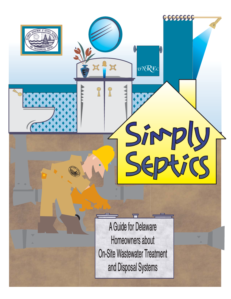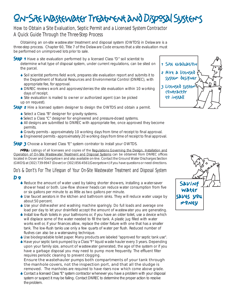# On-Site Wastewater Treatment and Disposal Systems

#### **How to Obtain a Site Evaluation, Septic Permit and a Licensed System Contractor A Quick Guide Through the Three-Step Process**

Obtaining an on-site wastewater treatment and disposal system (OWTDS) in Delaware is a three-step process. Chapter 60, Title 7 of the Delaware Code ensures that a site evaluation must be performed on unimproved lots prior to sale.

Step 1 Have a site evaluation performed by a licensed Class "D" soil scientist to determine what type of disposal system, under current regulations, can be sited on the parcel.

- 6 Soil scientist performs field work, prepares site evaluation report and submits it to the Department of Natural Resources and Environmental Control (DNREC), with appropriate fee, for approval.
- 6 DNREC reviews work and approves/denies the site evaluation within 10 working days of receipt.
- 6 Site evaluation is mailed to owner or authorized agent (can be picked up on request).
- Step 2 Hire a licensed system designer to design the OWTDS and obtain a permit.
	- 6 Select a Class "B" designer for gravity systems.
	- 6 Select a Class "C" designer for engineered and pressure-dosed systems.
	- 6 All designs are submitted to DNREC with appropriate fee, once approved they become permits.
	- 6 Gravity permits approximately 10 working days from time of receipt to final approval.
	- 6 Engineered permits approximately 20 working days from time of receipt to final approval.

Step 3 Choose a licensed Class "E" system contrator to install your OWTDS.

Note: Listings of all licensees and copies of the Regulations Governing the Design, Installation and Operation of On-Site Wastewater Treatment and Disposal Systems can be obtained from DNREC offices located in Dover and Georgetown and also available on-line. Contact the Ground Water Discharges Section (GWDS) at (302) 739-9947 (Dover) or (302) 856-4561(Georgetown) if you have questions or need directions.

# **Do's & Don't's For The Lifespan of Your On-Site Wastewater Treatment and Disposal System**

#### D o

- 6 Reduce the amount of water used by taking shorter showers, installing a water-saver shower head or both. Low-flow shower heads can reduce water consumption from five or six gallons per minute to as little as two gallons per minute.
- 6 Use faucet aerators in the kitchen and bathroom sinks. They will reduce water usage by about 50 percent.
- 6 Use your dishwasher and washing machine sparingly. Do full loads and average one load per day to let your drainfield accept the amount of wastewater you are generating.
- 6 Install low-flush toilets in your bathrooms or, if you have an older toilet, use a device which will displace some of the water needed to fill the tank. A plastic jug filled with water works well or, if your finances allow, replace the older fixture with one that has a smaller tank. The low-flush tanks use only a few quarts of water per flush. Reduced number of flushes can also be a water-saving technique.
- 6 Use biodegradable toilet paper. Many products are labeled "approved for septic tank use".
- 6 Have your septic tank pumped by a Class "F" liquid waste hauler every 3 years. Depending upon your family size, amount of wastewater generated, the age of the system or if you have a garbage disposal you may need to pump more frequently. The effluent filter requires periodic cleaning to prevent clogging.

#### **Ensure the wastehauler pumps both compartments of your tank through the manhole covers, not the inspection port, and that all the sludge is**

**removed.** The manholes are required to have risers now which come above grade. 6 Contact a licensed Class "E" system contractor whenever you have a problem with your disposal system or suspect it may be failing. Contact DNREC to determine the proper action to resolve the problem.



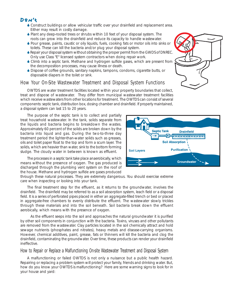#### Don't

- 6 Construct buildings or allow vehicular traffic over your drainfield and replacement area. Either may result in costly damage.
- 6 Plant any deep-rooted trees or shrubs within 10 feet of your disposal system. The roots can grow into the drainfield and reduce its capacity to handle wastewater.
- 6 Pour grease, paints, caustic or oily liquids, fuels, cooking fats or motor oils into sinks or toilets. These can kill the bacteria and/or plug your disposal system.
- 6 Repair your disposal system without obtaining the proper permit from the GWDS of DNREC. Only use Class "E" licensed system contractors when doing repair work.
- 6 Climb into a septic tank. Methane and hydrogen sulfide gases, which are present from the decomposition processes, may cause illness or death.
- 6 Dispose of coffee grounds, sanitary napkins, tampons, condoms, cigarette butts, or disposable diapers in the toilet or sink.

#### **How Your On-Site Wastewater Treatment and Disposal System Functions**

OWTDS are water treatment facilities located within your property boundaries that collect, treat and dispose of wastewater. They differ from municipal wastewater treatment facilities which receive wastewaters from other locations for treatment. The OWTDS can consist of several components: septic tank, distribution box, dosing chamber and drainfield. If properly maintained, a disposal system can last 15 to 20 years.

The purpose of the septic tank is to collect and partially treat household wastewater. In the tank, solids separate from the liquids and bacteria begins to breakdown the wastes. Approximately 60 percent of the solids are broken down by the bacteria into liquid and gas. During the two-to-three day treatment period the lighter-than-water solids such as greases, oils and toilet paper float to the top and form a scum layer. The solids, which are heavier than water, sink to the bottom forming sludge. The cloudy water in between is known as effluent.

The processes in a septic tank take place anaerobically, which means without the presence of oxygen. The gas produced is discharged through the plumbing vent system on the roof of the house. Methane and hydrogen sulfide are gases produced

through these natural processes. They are extremely dangerous. You should exercise extreme care when inspecting or looking into your tank.

The final treatment step for the effluent, as it returns to the groundwater, involves the drainfield. The drainfield may be referred to as a soil absorption system, leach field or a disposal field. It is a series of perforated pipes placed in either an aggregate-filled trench or bed or placed in aggregate-free chambers to evenly distribute the effluent. The wastewater slowly trickles through these materials and into the soil beneath. Soil bacteria break down the effluent aerobically, which means with the presence of oxygen.

As the effluent seeps into the soil and approaches the natural groundwater it is purified by other soil components in conjunction with the bacteria. Toxins, viruses and other pollutants are removed from the wastewater. Clay particles located in the soil chemically attract and hold sewage nutrients (phosphates and nitrates), heavy metals and disease-carrying organisms. However, chemical additives, paint, grease, fats or thinners will kill the bacteria and clog the drainfield, contaminating the groundwater. Over time, these products can render your drainfield ineffective.

#### **How to Repair or Replace a Malfunctioning On-site Wastewater Treatment and Disposal System**

A malfunctioning or failed OWTDS is not only a nuisance but a public health hazard. Repairing or replacing a problem system will protect your family, friends and drinking water. But, how do you know your OWTDS is malfunctioning? Here are some warning signs to look for in your house and yard:



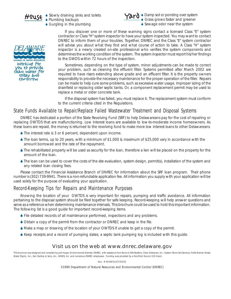

House Slowly draining sinks and toilets<br>
Yard ◆ Plumbing backups 6 Gurgling in the plumbing



6 Damp soil or ponding over system 6 Grass grows faster and greener ◆ Sewage odor near the system



DIVISION OF WATER RESOURCES Working for you to provide clean water t<br>Gua yaget tomorrow"

If you discover one or more of these warning signs contact a licensed Class "E" system contractor or Class "H" system inspector to have your system inspected. You may want to contact DNREC to inform them of your troubles. Together, DNREC and the Class "E" system contractor will advise you about what they find and what course of action to take. A Class "H" system inspector is a newly created on-site professional who verifies the system components and determines the working condition of the system. The system inspector must report his/her findings to the GWDS within 72 hours of the inspection.

Sometimes, depending on the type of system, minor adjustments can be made to correct your problem, such as cleaning the effluent filter. Systems permitted after March 2002 are required to have risers extending above grade and an effluent filter. It is the property owners responsibility to provide the necessary maintenance for the proper operation of the filter. Repairs can be made to help cure some problems, such as excessive water usage, improper sizing of the drainfield or replacing older septic tanks. Or, a component replacement permit may be used to replace a metal or older concrete tank.

If the disposal system has failed, you must replace it. The replacement system must conform to the current criteria cited in the Regulations.

#### **State Funds Available to Repair/Replace Failed Wastewater Treatment and Disposal Systems**

DNREC has dedicated a portion of the State Revolving Fund (SRF) to help Delawareans pay for the cost of repairing or replacing OWTDS that are malfunctioning. Low interest loans are available to low-to-moderate income homeowners. As these loans are repaid, the money is returned to the revolving fund to make more low interest loans to other Delawareans.

- 6 The interest rate is 3 or 6 percent, dependent upon income.
- 6 The loan terms, up to 20 years, with a minimum of \$1,000 & maximum of \$25,000 vary in accordance with the amount borrowed and the rate of the repayment.
- 6 The rehabilitated property will be used as security for the loan, therefore a lien will be placed on the property for the amount of the loan.
- 6 The loan can be used to cover the costs of the site evaluation, system design, permit(s), installation of the system and any related loan closing fees.

Please contact the Financial Assistance Branch of DNREC for information about the SRF loan program. Their phone number is (302) 739-9941. There is a non-refundable application fee. All information you supply with your application will be used solely for the purpose of evaluating your application.

#### **Record-Keeping Tips for Repairs and Maintenance Purposes**

Knowing the location of your OWTDS is very important for repairs, pumping and traffic avoidance. All information pertaining to the disposal system should be filed together for safe keeping. Record-keeping will help answer questions and serve as a reference when determining maintenance intervals. This brochure could be used to hold this important information. The following list is a good guide for important record-keeping items.

- 6 File detailed records of all maintenance performed, inspections and any problems.
- 6 Obtain a copy of the permit from the contractor or DNREC and keep in the file.
- 6 Make a map or drawing of the location of your OWTDS if unable to get a copy of the permit.
- 6 Keep receipts and a record of pumping dates; a septic tank pumping log is included with this guide.

#### **Visit us on the web at www.dnrec.delaware.gov**

This brochure was designed and compiled by Jack Hayes, Environmental Scientist, DNREC, with assistance from Burns & Ellis Realtors, Clean Delaware, Inc., Eastern Shore Soil Services, Hollis Warren Waste Water Mgmt., Inc., Ken Darling & Sons, Inc., WWES, Inc. and numerous DNREC employees. Funding was provided by a NonPoint Source 319 Grant,

Doc. # 40-08/01/07/03/02

©1999 Department of Natural Resources and Environmental Control (DNREC)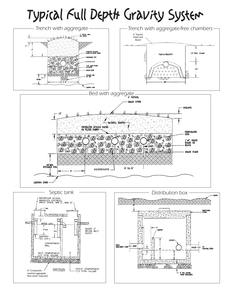# Typical Full Depth Gravity System





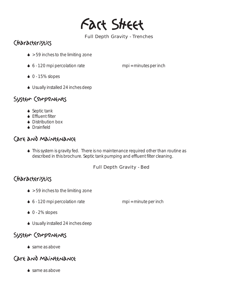Fact Sheet

#### **Full Depth Gravity - Trenches**

# Characteristics

- $\bullet$  > 59 inches to the limiting zone
- $6 120$  mpi percolation rate mpi = minutes per inch
- $\bullet$  0 15% slopes
- 6 Usually installed 24 inches deep

## System Components

- ◆ Septic tank
- **◆ Effluent filter**
- ◆ Distribution box
- **▲ Drainfield**

### Care and Maintenance

6 This system is gravity fed. There is no maintenance required other than routine as described in this brochure. Septic tank pumping and effluent filter cleaning.

#### **Full Depth Gravity - Bed**

# Characteristics

- $\bullet$  > 59 inches to the limiting zone
- $6 120$  mpi percolation rate mpi = minute per inch

- $\bullet$  0 2% slopes
- 6 Usually installed 24 inches deep

# System Components

 $\bullet$  same as above

## Care and Maintenance

◆ same as above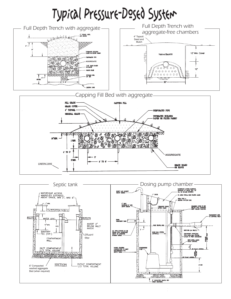# Typical Pressure-Dosed System



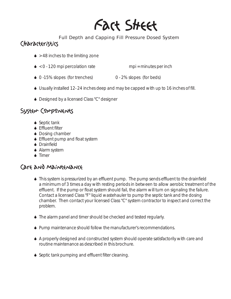# Fact Sheet

#### **Full Depth and Capping Fill Pressure Dosed System**

## Characteristics

- $\triangle$  > 48 inches to the limiting zone
- $\bullet$  < 0 120 mpi percolation rate mpi = minutes per inch
- 6 0 -15% slopes (for trenches) 0 2% slopes (for beds)
- 6 Usually installed 12- 24 inches deep and may be capped with up to 16 inches of fill.
- ◆ Designed by a licensed Class "C" designer

# System Components

- ◆ Septic tank
- **◆ Effluent filter**
- ◆ Dosing chamber
- ♦ Effluent pump and float system
- **▲ Drainfield**
- ◆ Alarm system
- **◆ Timer**

- 6 This system is pressurized by an effluent pump. The pump sends effluent to the drainfield a minimum of 3 times a day with resting periods in between to allow aerobic treatment of the effluent. If the pump or float system should fail, the alarm will turn on signaling the failure. Contact a licensed Class "F" liquid wastehauler to pump the septic tank and the dosing chamber. Then contact your licensed Class "C" system contractor to inspect and correct the problem.
- 6 The alarm panel and timer should be checked and tested regularly.
- 6 Pump maintenance should follow the manufacturer's recommendations.
- 6 A properly designed and constructed system should operate satisfactorily with care and routine maintenance as described in this brochure.
- 6 Septic tank pumping and effluent filter cleaning.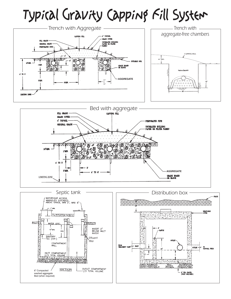# Typical Gravity Capping Fill System





**ERADE** 

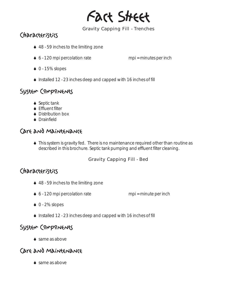

#### **Gravity Capping Fill - Trenches**

# Characteristics

- 6 48 59 inches to the limiting zone
- $6 120$  mpi percolation rate mpi = minutes per inch

- $\bullet$  0 15% slopes
- 6 Installed 12 23 inches deep and capped with 16 inches of fill

### System Components

- ◆ Septic tank
- **◆ Effluent filter**
- ◆ Distribution box
- ◆ Drainfield

## Care and Maintenance

6 This system is gravity fed. There is no maintenance required other than routine as described in this brochure. Septic tank pumping and effluent filter cleaning.

#### **Gravity Capping Fill - Bed**

#### Characteristics

- 6 48 59 inches to the limiting zone
- $6 120$  mpi percolation rate mpi = minute per inch

- $\bullet$  0 2% slopes
- 6 Installed 12 23 inches deep and capped with 16 inches of fill

#### System Components

◆ same as above

#### Care and Maintenance

 $\bullet$  same as above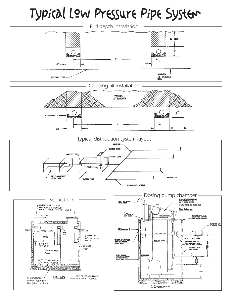# Typical Low Pressure Pipe System





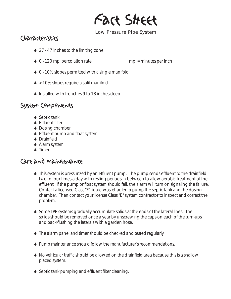Fact Sheet

#### **Low Pressure Pipe System**

## Characteristics

- 6 27 47 inches to the limiting zone
- ◆ 0 120 mpi percolation rate mpi = minutes per inch

- ◆ 0 10% slopes permitted with a single manifold
- $\bullet$  > 10% slopes require a split manifold
- 6 Installed with trenches 9 to 18 inches deep

#### System Components

- ◆ Septic tank
- **◆ Effluent filter**
- ◆ Dosing chamber
- ♦ Effluent pump and float system
- ◆ Drainfield
- ◆ Alarm system
- **▲ Timer**

- 6 This system is pressurized by an effluent pump. The pump sends effluent to the drainfield two to four times a day with resting periods in between to allow aerobic treatment of the effluent. If the pump or float system should fail, the alarm will turn on signaling the failure. Contact a licensed Class "F" liquid wastehauler to pump the septic tank and the dosing chamber. Then contact your license Class "E" system contractor to inspect and correct the problem.
- 6 Some LPP systems gradually accumulate solids at the ends of the lateral lines. The solids should be removed once a year by unscrewing the caps on each of the turn-ups and back-flushing the laterals with a garden hose.
- 6 The alarm panel and timer should be checked and tested regularly.
- 6 Pump maintenance should follow the manufacturer's recommendations.
- 6 No vehicular traffic should be allowed on the drainfield area because this is a shallow placed system.
- 6 Septic tank pumping and effluent filter cleaning.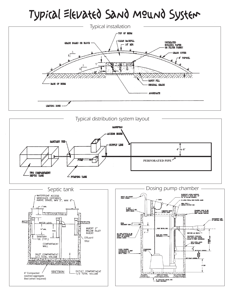# Typical Elevated Sand Mound System







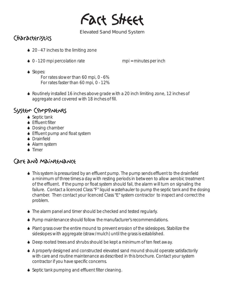Fact Sheet

#### **Elevated Sand Mound System**

# Characteristics

- 6 20 47 inches to the limiting zone
- ◆ 0 120 mpi percolation rate mpi = minutes per inch

◆ Slopes:

For rates slower than 60 mpi, 0 - 6% For rates faster than 60 mpi, 0 - 12%

6 Routinely installed 16 inches above grade with a 20 inch limiting zone, 12 inches of aggregate and covered with 18 inches of fill.

## System Components

- ◆ Septic tank
- **◆ Effluent filter**
- ◆ Dosing chamber
- ♦ Effluent pump and float system
- **◆ Drainfield**
- ◆ Alarm system
- $\blacktriangle$  Timer

- 6 This system is pressurized by an effluent pump. The pump sends effluent to the drainfield a minimum of three times a day with resting periods in between to allow aerobic treatment of the effluent. If the pump or float system should fail, the alarm will turn on signaling the failure. Contact a licenced Class "F" liquid wastehauler to pump the septic tank and the dosing chamber. Then contact your licenced Class "E" system contractor to inspect and correct the problem.
- 6 The alarm panel and timer should be checked and tested regularly.
- 6 Pump maintenance should follow the manufacturer's recommendations.
- 6 Plant grass over the entire mound to prevent erosion of the sideslopes. Stabilize the sideslopes with aggregate (straw/mulch) until the grass is established.
- ◆ Deep rooted trees and shrubs should be kept a minimum of ten feet away.
- 6 A properly designed and constructed elevated sand mound should operate satisfactorily with care and routine maintenance as described in this brochure. Contact your system contractor if you have specific concerns.
- 6 Septic tank pumping and effluent filter cleaning.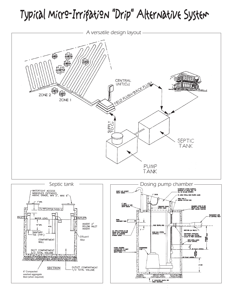# Typical Micro-Irrigation "Drip" Alternative System





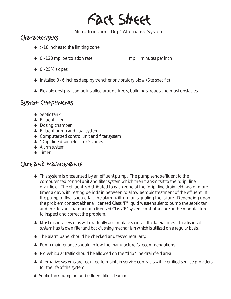# Fact Sheet

#### **Micro-Irrigation "Drip" Alternative System**

# Characteristics

- $\bullet$  > 18 inches to the limiting zone
- $\bullet$  0 120 mpi percolation rate mpi = minutes per inch

- $\bullet$  0 25% slopes
- 6 Installed 0 6 inches deep by trencher or vibratory plow (Site specific)
- 6 Flexible designs can be installed around tree's, buildings, roads and most obstacles

#### System Components

- ◆ Septic tank
- **Effluent filter**
- ◆ Dosing chamber
- **↓** Effluent pump and float system
- 6 Computerized control unit and filter system
- 6 "Drip" line drainfield 1or 2 zones
- ◆ Alarm system
- ▲ Timer

- 6 This system is pressurized by an effluent pump. The pump sends effluent to the computerized control unit and filter system which then transmits it to the "drip" line drainfield. The effluent is distributed to each zone of the "drip" line drainfield two or more times a day with resting periods in between to allow aerobic treatment of the effluent. If the pump or float should fail, the alarm will turn on signaling the failure. Depending upon the problem contact either a licensed Class "F" liquid wastehauler to pump the septic tank and the dosing chamber or a licensed Class "E" system contrator and/or the manufacturer to inspect and correct the problem.
- 6 Most disposal systems will gradually accumulate solids in the lateral lines. This disposal system has its own filter and backflushing mechanism which is utilized on a regular basis.
- 6 The alarm panel should be checked and tested regularly.
- 6 Pump maintenance should follow the manufacturer's recommendations.
- 6 No vehicular traffic should be allowed on the "drip" line drainfield area.
- 6 Alternative systems are required to maintain service contracts with certified service providers for the life of the system.
- 6 Septic tank pumping and effluent filter cleaning.